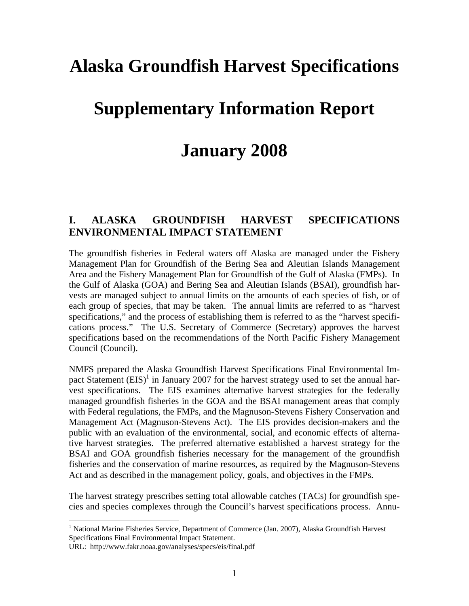# **Alaska Groundfish Harvest Specifications**

## **Supplementary Information Report**

## **January 2008**

### **I. ALASKA GROUNDFISH HARVEST SPECIFICATIONS ENVIRONMENTAL IMPACT STATEMENT**

The groundfish fisheries in Federal waters off Alaska are managed under the Fishery Management Plan for Groundfish of the Bering Sea and Aleutian Islands Management Area and the Fishery Management Plan for Groundfish of the Gulf of Alaska (FMPs). In the Gulf of Alaska (GOA) and Bering Sea and Aleutian Islands (BSAI), groundfish harvests are managed subject to annual limits on the amounts of each species of fish, or of each group of species, that may be taken. The annual limits are referred to as "harvest specifications," and the process of establishing them is referred to as the "harvest specifications process." The U.S. Secretary of Commerce (Secretary) approves the harvest specifications based on the recommendations of the North Pacific Fishery Management Council (Council).

NMFS prepared the Alaska Groundfish Harvest Specifications Final Environmental Impact Statement  $(EIS)^{1}$  in January 2007 for the harvest strategy used to set the annual harvest specifications. The EIS examines alternative harvest strategies for the federally managed groundfish fisheries in the GOA and the BSAI management areas that comply with Federal regulations, the FMPs, and the Magnuson-Stevens Fishery Conservation and Management Act (Magnuson-Stevens Act). The EIS provides decision-makers and the public with an evaluation of the environmental, social, and economic effects of alternative harvest strategies. The preferred alternative established a harvest strategy for the BSAI and GOA groundfish fisheries necessary for the management of the groundfish fisheries and the conservation of marine resources, as required by the Magnuson-Stevens Act and as described in the management policy, goals, and objectives in the FMPs.

The harvest strategy prescribes setting total allowable catches (TACs) for groundfish species and species complexes through the Council's harvest specifications process. Annu-

<sup>1</sup> National Marine Fisheries Service, Department of Commerce (Jan. 2007), Alaska Groundfish Harvest Specifications Final Environmental Impact Statement.

URL: http://www.fakr.noaa.gov/analyses/specs/eis/final.pdf

 $\overline{a}$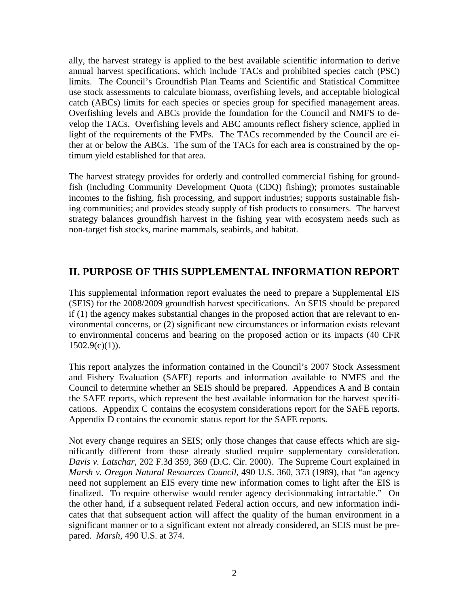catch (ABCs) limits for each species or species group for specified management areas. ally, the harvest strategy is applied to the best available scientific information to derive annual harvest specifications, which include TACs and prohibited species catch (PSC) limits. The Council's Groundfish Plan Teams and Scientific and Statistical Committee use stock assessments to calculate biomass, overfishing levels, and acceptable biological Overfishing levels and ABCs provide the foundation for the Council and NMFS to delight of the requirements of the FMPs. The TACs recommended by the Council are either at or below the ABCs. The sum of the TACs for each area is constrained by the opvelop the TACs. Overfishing levels and ABC amounts reflect fishery science, applied in timum yield established for that area.

incomes to the fishing, fish processing, and support industries; supports sustainable fish-The harvest strategy provides for orderly and controlled commercial fishing for groundfish (including Community Development Quota (CDQ) fishing); promotes sustainable ing communities; and provides steady supply of fish products to consumers. The harvest strategy balances groundfish harvest in the fishing year with ecosystem needs such as non-target fish stocks, marine mammals, seabirds, and habitat.

## **II. PURPOSE OF THIS SUPPLEMENTAL INFORMATION REPORT**

if (1) the agency makes substantial changes in the proposed action that are relevant to en-This supplemental information report evaluates the need to prepare a Supplemental EIS (SEIS) for the 2008/2009 groundfish harvest specifications. An SEIS should be prepared vironmental concerns, or (2) significant new circumstances or information exists relevant to environmental concerns and bearing on the proposed action or its impacts (40 CFR  $1502.9(c)(1)$ ).

This report analyzes the information contained in the Council's 2007 Stock Assessment and Fishery Evaluation (SAFE) reports and information available to NMFS and the Council to determine whether an SEIS should be prepared. Appendices A and B contain the SAFE reports, which represent the best available information for the harvest specifi cations. Appendix C contains the ecosystem considerations report for the SAFE reports. Appendix D contains the economic status report for the SAFE reports.

Not every change requires an SEIS; only those changes that cause effects which are sigthe other hand, if a subsequent related Federal action occurs, and new information indisignificant manner or to a significant extent not already considered, an SEIS must be prenificantly different from those already studied require supplementary consideration. *Davis v. Latschar*, 202 F.3d 359, 369 (D.C. Cir. 2000). The Supreme Court explained in *Marsh v. Oregon Natural Resources Council*, 490 U.S. 360, 373 (1989), that "an agency need not supplement an EIS every time new information comes to light after the EIS is finalized. To require otherwise would render agency decisionmaking intractable." On cates that that subsequent action will affect the quality of the human environment in a pared. *Marsh*, 490 U.S. at 374.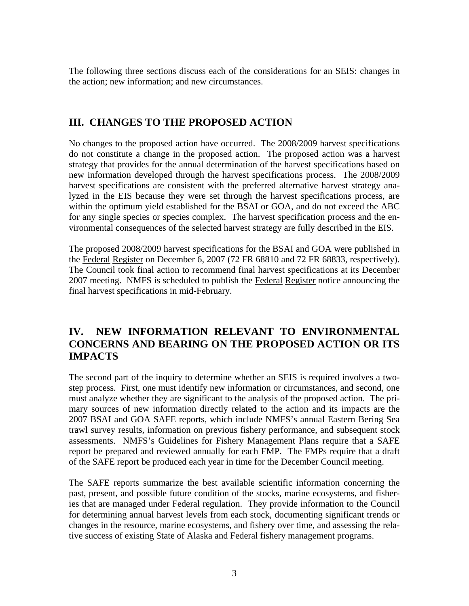The following three sections discuss each of the considerations for an SEIS: changes in the action; new information; and new circumstances.

## **III. CHANGES TO THE PROPOSED ACTION**

No changes to the proposed action have occurred. The 2008/2009 harvest specifications do not constitute a change in the proposed action. The proposed action was a harvest strategy that provides for the annual determination of the harvest specifications based on new information developed through the harvest specifications process. The 2008/2009 harvest specifications are consistent with the preferred alternative harvest strategy analyzed in the EIS because they were set through the harvest specifications process, are within the optimum yield established for the BSAI or GOA, and do not exceed the ABC for any single species or species complex. The harvest specification process and the en vironmental consequences of the selected harvest strategy are fully described in the EIS.

the Federal Register on December 6, 2007 (72 FR 68810 and 72 FR 68833, respectively). The proposed 2008/2009 harvest specifications for the BSAI and GOA were published in The Council took final action to recommend final harvest specifications at its December 2007 meeting. NMFS is scheduled to publish the Federal Register notice announcing the final harvest specifications in mid-February.

## **IV. NEW INFORMATION RELEVANT TO ENVIRONMENTAL CONCERNS AND BEARING ON THE PROPOSED ACTION OR ITS IMPACTS**

must analyze whether they are significant to the analysis of the proposed action. The pri-The second part of the inquiry to determine whether an SEIS is required involves a twostep process. First, one must identify new information or circumstances, and second, one mary sources of new information directly related to the action and its impacts are the 2007 BSAI and GOA SAFE reports, which include NMFS's annual Eastern Bering Sea trawl survey results, information on previous fishery performance, and subsequent stock assessments. NMFS's Guidelines for Fishery Management Plans require that a SAFE report be prepared and reviewed annually for each FMP. The FMPs require that a draft of the SAFE report be produced each year in time for the December Council meeting.

past, present, and possible future condition of the stocks, marine ecosystems, and fisher-- changes in the resource, marine ecosystems, and fishery over time, and assessing the rela The SAFE reports summarize the best available scientific information concerning the ies that are managed under Federal regulation. They provide information to the Council for determining annual harvest levels from each stock, documenting significant trends or tive success of existing State of Alaska and Federal fishery management programs.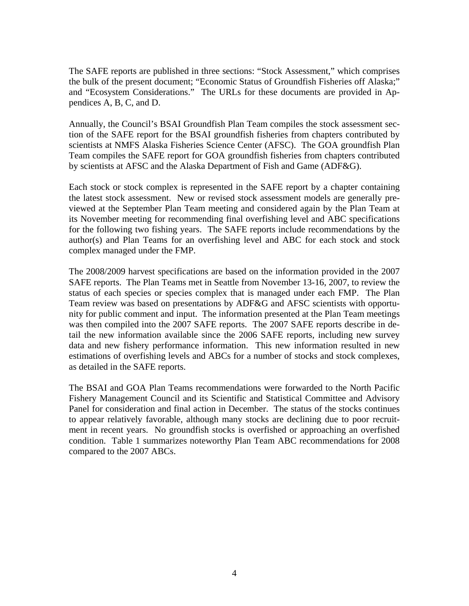The SAFE reports are published in three sections: "Stock Assessment," which comprises the bulk of the present document; "Economic Status of Groundfish Fisheries off Alaska;" and "Ecosystem Considerations." The URLs for these documents are provided in Ap pendices A, B, C, and D.

- Annually, the Council's BSAI Groundfish Plan Team compiles the stock assessment sec tion of the SAFE report for the BSAI groundfish fisheries from chapters contributed by scientists at NMFS Alaska Fisheries Science Center (AFSC). The GOA groundfish Plan Team compiles the SAFE report for GOA groundfish fisheries from chapters contributed by scientists at AFSC and the Alaska Department of Fish and Game (ADF&G).

the latest stock assessment. New or revised stock assessment models are generally pre-Each stock or stock complex is represented in the SAFE report by a chapter containing viewed at the September Plan Team meeting and considered again by the Plan Team at its November meeting for recommending final overfishing level and ABC specifications for the following two fishing years. The SAFE reports include recommendations by the author(s) and Plan Teams for an overfishing level and ABC for each stock and stock complex managed under the FMP.

Team review was based on presentations by ADF&G and AFSC scientists with opportuwas then compiled into the 2007 SAFE reports. The 2007 SAFE reports describe in de-The 2008/2009 harvest specifications are based on the information provided in the 2007 SAFE reports. The Plan Teams met in Seattle from November 13-16, 2007, to review the status of each species or species complex that is managed under each FMP. The Plan nity for public comment and input. The information presented at the Plan Team meetings tail the new information available since the 2006 SAFE reports, including new survey data and new fishery performance information. This new information resulted in new estimations of overfishing levels and ABCs for a number of stocks and stock complexes, as detailed in the SAFE reports.

to appear relatively favorable, although many stocks are declining due to poor recruit-The BSAI and GOA Plan Teams recommendations were forwarded to the North Pacific Fishery Management Council and its Scientific and Statistical Committee and Advisory Panel for consideration and final action in December. The status of the stocks continues ment in recent years. No groundfish stocks is overfished or approaching an overfished condition. Table 1 summarizes noteworthy Plan Team ABC recommendations for 2008 compared to the 2007 ABCs.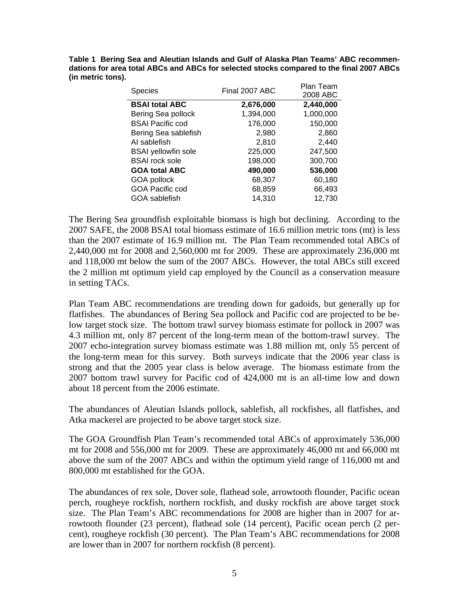**Table 1 Bering Sea and Aleutian Islands and Gulf of Alaska Plan Teams' ABC recommen dations for area total ABCs and ABCs for selected stocks compared to the final 2007 ABCs (in metric tons).** 

| Final 2007 ABC | Plan Team<br>2008 ABC |
|----------------|-----------------------|
| 2,676,000      | 2,440,000             |
| 1,394,000      | 1,000,000             |
| 176,000        | 150,000               |
| 2,980          | 2,860                 |
| 2,810          | 2,440                 |
| 225,000        | 247,500               |
| 198,000        | 300,700               |
| 490,000        | 536,000               |
| 68,307         | 60,180                |
| 68,859         | 66,493                |
| 14,310         | 12,730                |
|                |                       |

The Bering Sea groundfish exploitable biomass is high but declining. According to the 2007 SAFE, the 2008 BSAI total biomass estimate of 16.6 million metric tons (mt) is less than the 2007 estimate of 16.9 million mt. The Plan Team recommended total ABCs of 2,440,000 mt for 2008 and 2,560,000 mt for 2009. These are approximately 236,000 mt and 118,000 mt below the sum of the 2007 ABCs. However, the total ABCs still exceed the 2 million mt optimum yield cap employed by the Council as a conservation measure in setting TACs.

Plan Team ABC recommendations are trending down for gadoids, but generally up for flatfishes. The abundances of Bering Sea pollock and Pacific cod are projected to be below target stock size. The bottom trawl survey biomass estimate for pollock in 2007 was 4.3 million mt, only 87 percent of the long-term mean of the bottom-trawl survey. The 2007 echo-integration survey biomass estimate was 1.88 million mt, only 55 percent of the long-term mean for this survey. Both surveys indicate that the 2006 year class is strong and that the 2005 year class is below average. The biomass estimate from the 2007 bottom trawl survey for Pacific cod of 424,000 mt is an all-time low and down about 18 percent from the 2006 estimate.

The abundances of Aleutian Islands pollock, sablefish, all rockfishes, all flatfishes, and Atka mackerel are projected to be above target stock size.

The GOA Groundfish Plan Team's recommended total ABCs of approximately 536,000 mt for 2008 and 556,000 mt for 2009. These are approximately 46,000 mt and 66,000 mt above the sum of the 2007 ABCs and within the optimum yield range of 116,000 mt and 800,000 mt established for the GOA.

The abundances of rex sole, Dover sole, flathead sole, arrowtooth flounder, Pacific ocean perch, rougheye rockfish, northern rockfish, and dusky rockfish are above target stock size. The Plan Team's ABC recommendations for 2008 are higher than in 2007 for arrowtooth flounder (23 percent), flathead sole (14 percent), Pacific ocean perch (2 percent), rougheye rockfish (30 percent). The Plan Team's ABC recommendations for 2008 are lower than in 2007 for northern rockfish (8 percent).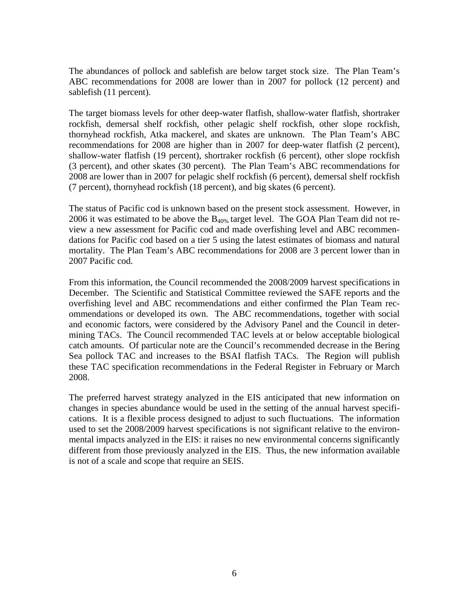The abundances of pollock and sablefish are below target stock size. The Plan Team's ABC recommendations for 2008 are lower than in 2007 for pollock (12 percent) and sablefish (11 percent).

The target biomass levels for other deep-water flatfish, shallow-water flatfish, shortraker rockfish, demersal shelf rockfish, other pelagic shelf rockfish, other slope rockfish, thornyhead rockfish, Atka mackerel, and skates are unknown. The Plan Team's ABC recommendations for 2008 are higher than in 2007 for deep-water flatfish (2 percent), shallow-water flatfish (19 percent), shortraker rockfish (6 percent), other slope rockfish (3 percent), and other skates (30 percent). The Plan Team's ABC recommendations for 2008 are lower than in 2007 for pelagic shelf rockfish (6 percent), demersal shelf rockfish (7 percent), thornyhead rockfish (18 percent), and big skates (6 percent).

The status of Pacific cod is unknown based on the present stock assessment. However, in 2006 it was estimated to be above the  $B_{40\%}$  target level. The GOA Plan Team did not review a new assessment for Pacific cod and made overfishing level and ABC recommendations for Pacific cod based on a tier 5 using the latest estimates of biomass and natural mortality. The Plan Team's ABC recommendations for 2008 are 3 percent lower than in 2007 Pacific cod.

 mining TACs. The Council recommended TAC levels at or below acceptable biological - overfishing level and ABC recommendations and either confirmed the Plan Team rec and economic factors, were considered by the Advisory Panel and the Council in deter-From this information, the Council recommended the 2008/2009 harvest specifications in December. The Scientific and Statistical Committee reviewed the SAFE reports and the ommendations or developed its own. The ABC recommendations, together with social catch amounts. Of particular note are the Council's recommended decrease in the Bering Sea pollock TAC and increases to the BSAI flatfish TACs. The Region will publish these TAC specification recommendations in the Federal Register in February or March 2008.

- changes in species abundance would be used in the setting of the annual harvest specifi used to set the 2008/2009 harvest specifications is not significant relative to the environ-The preferred harvest strategy analyzed in the EIS anticipated that new information on cations. It is a flexible process designed to adjust to such fluctuations. The information mental impacts analyzed in the EIS: it raises no new environmental concerns significantly different from those previously analyzed in the EIS. Thus, the new information available is not of a scale and scope that require an SEIS.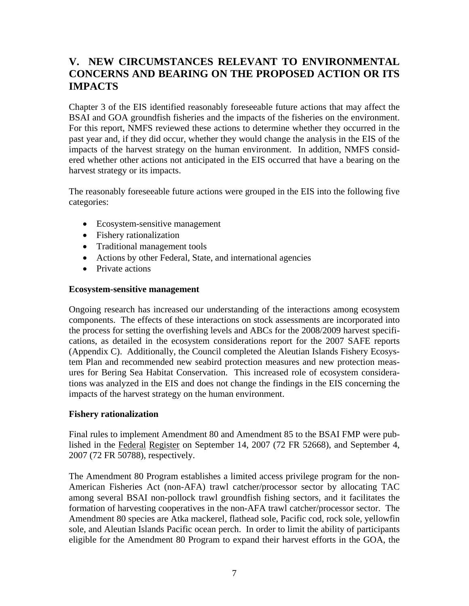## **V. NEW CIRCUMSTANCES RELEVANT TO ENVIRONMENTAL CONCERNS AND BEARING ON THE PROPOSED ACTION OR ITS IMPACTS**

Chapter 3 of the EIS identified reasonably foreseeable future actions that may affect the BSAI and GOA groundfish fisheries and the impacts of the fisheries on the environment. For this report, NMFS reviewed these actions to determine whether they occurred in the past year and, if they did occur, whether they would change the analysis in the EIS of the impacts of the harvest strategy on the human environment. In addition, NMFS considered whether other actions not anticipated in the EIS occurred that have a bearing on the harvest strategy or its impacts.

The reasonably foreseeable future actions were grouped in the EIS into the following five categories:

- Ecosystem-sensitive management
- Fishery rationalization
- Traditional management tools
- Actions by other Federal, State, and international agencies
- Private actions

### **Ecosystem-sensitive management**

Ongoing research has increased our understanding of the interactions among ecosystem components. The effects of these interactions on stock assessments are incorporated into the process for setting the overfishing levels and ABCs for the 2008/2009 harvest specifi- (Appendix C). Additionally, the Council completed the Aleutian Islands Fishery Ecosys-- tem Plan and recommended new seabird protection measures and new protection meas ures for Bering Sea Habitat Conservation. This increased role of ecosystem consideracations, as detailed in the ecosystem considerations report for the 2007 SAFE reports tions was analyzed in the EIS and does not change the findings in the EIS concerning the impacts of the harvest strategy on the human environment.

### **Fishery rationalization**

Final rules to implement Amendment 80 and Amendment 85 to the BSAI FMP were published in the Federal Register on September 14, 2007 (72 FR 52668), and September 4, 2007 (72 FR 50788), respectively.

The Amendment 80 Program establishes a limited access privilege program for the non-American Fisheries Act (non-AFA) trawl catcher/processor sector by allocating TAC among several BSAI non-pollock trawl groundfish fishing sectors, and it facilitates the formation of harvesting cooperatives in the non-AFA trawl catcher/processor sector. The Amendment 80 species are Atka mackerel, flathead sole, Pacific cod, rock sole, yellowfin sole, and Aleutian Islands Pacific ocean perch. In order to limit the ability of participants eligible for the Amendment 80 Program to expand their harvest efforts in the GOA, the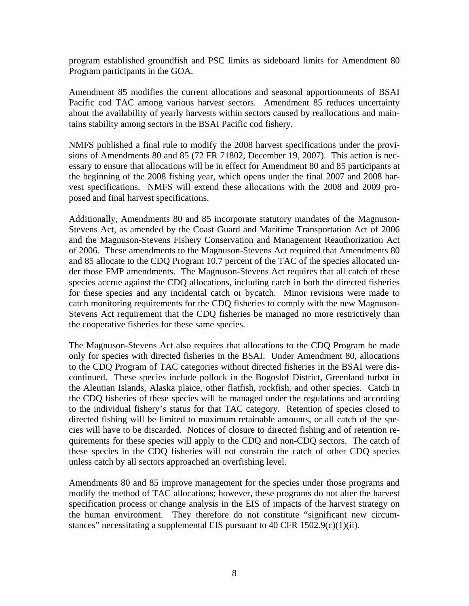program established groundfish and PSC limits as sideboard limits for Amendment 80 Program participants in the GOA.

Amendment 85 modifies the current allocations and seasonal apportionments of BSAI Pacific cod TAC among various harvest sectors. Amendment 85 reduces uncertainty about the availability of yearly harvests within sectors caused by reallocations and main tains stability among sectors in the BSAI Pacific cod fishery.

NMFS published a final rule to modify the 2008 harvest specifications under the provisions of Amendments 80 and 85 (72 FR 71802, December 19, 2007). This action is necthe beginning of the 2008 fishing year, which opens under the final 2007 and 2008 harvest specifications. NMFS will extend these allocations with the 2008 and 2009 proessary to ensure that allocations will be in effect for Amendment 80 and 85 participants at posed and final harvest specifications.

and 85 allocate to the CDQ Program 10.7 percent of the TAC of the species allocated un-Additionally, Amendments 80 and 85 incorporate statutory mandates of the Magnuson-Stevens Act, as amended by the Coast Guard and Maritime Transportation Act of 2006 and the Magnuson-Stevens Fishery Conservation and Management Reauthorization Act of 2006. These amendments to the Magnuson-Stevens Act required that Amendments 80 der those FMP amendments. The Magnuson-Stevens Act requires that all catch of these species accrue against the CDQ allocations, including catch in both the directed fisheries for these species and any incidental catch or bycatch. Minor revisions were made to catch monitoring requirements for the CDQ fisheries to comply with the new Magnuson-Stevens Act requirement that the CDQ fisheries be managed no more restrictively than the cooperative fisheries for these same species.

to the CDQ Program of TAC categories without directed fisheries in the BSAI were dis-The Magnuson-Stevens Act also requires that allocations to the CDQ Program be made only for species with directed fisheries in the BSAI. Under Amendment 80, allocations continued. These species include pollock in the Bogoslof District, Greenland turbot in the Aleutian Islands, Alaska plaice, other flatfish, rockfish, and other species. Catch in the CDQ fisheries of these species will be managed under the regulations and according to the individual fishery's status for that TAC category. Retention of species closed to directed fishing will be limited to maximum retainable amounts, or all catch of the spe- - cies will have to be discarded. Notices of closure to directed fishing and of retention re quirements for these species will apply to the CDQ and non-CDQ sectors. The catch of these species in the CDQ fisheries will not constrain the catch of other CDQ species unless catch by all sectors approached an overfishing level.

- the human environment. They therefore do not constitute "significant new circum Amendments 80 and 85 improve management for the species under those programs and modify the method of TAC allocations; however, these programs do not alter the harvest specification process or change analysis in the EIS of impacts of the harvest strategy on stances" necessitating a supplemental EIS pursuant to 40 CFR 1502.9(c)(1)(ii).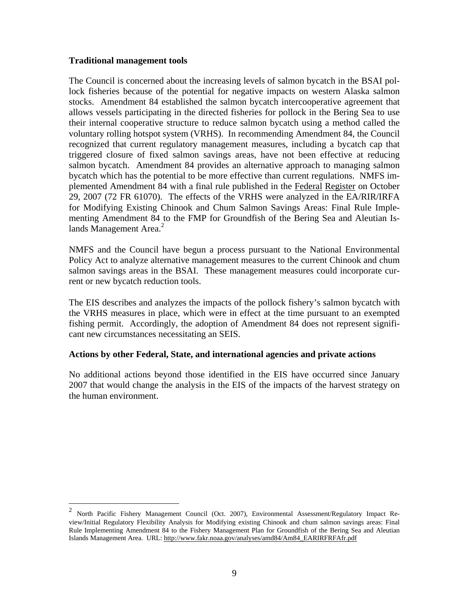#### **Traditional management tools**

 $\overline{a}$ 

The Council is concerned about the increasing levels of salmon bycatch in the BSAI pollock fisheries because of the potential for negative impacts on western Alaska salmon stocks. Amendment 84 established the salmon bycatch intercooperative agreement that allows vessels participating in the directed fisheries for pollock in the Bering Sea to use their internal cooperative structure to reduce salmon bycatch using a method called the voluntary rolling hotspot system (VRHS). In recommending Amendment 84, the Council recognized that current regulatory management measures, including a bycatch cap that triggered closure of fixed salmon savings areas, have not been effective at reducing salmon bycatch. Amendment 84 provides an alternative approach to managing salmon bycatch which has the potential to be more effective than current regulations. NMFS im for Modifying Existing Chinook and Chum Salmon Savings Areas: Final Rule Implementing Amendment 84 to the FMP for Groundfish of the Bering Sea and Aleutian Isplemented Amendment 84 with a final rule published in the Federal Register on October 29, 2007 (72 FR 61070). The effects of the VRHS were analyzed in the EA/RIR/IRFA lands Management Area.<sup>2</sup>

salmon savings areas in the BSAI. These management measures could incorporate cur-NMFS and the Council have begun a process pursuant to the National Environmental Policy Act to analyze alternative management measures to the current Chinook and chum rent or new bycatch reduction tools.

fishing permit. Accordingly, the adoption of Amendment 84 does not represent signifi-The EIS describes and analyzes the impacts of the pollock fishery's salmon bycatch with the VRHS measures in place, which were in effect at the time pursuant to an exempted cant new circumstances necessitating an SEIS.

### **Actions by other Federal, State, and international agencies and private actions**

No additional actions beyond those identified in the EIS have occurred since January 2007 that would change the analysis in the EIS of the impacts of the harvest strategy on the human environment.

<sup>&</sup>lt;sup>2</sup> North Pacific Fishery Management Council (Oct. 2007), Environmental Assessment/Regulatory Impact Review/Initial Regulatory Flexibility Analysis for Modifying existing Chinook and chum salmon savings areas: Final Rule Implementing Amendment 84 to the Fishery Management Plan for Groundfish of the Bering Sea and Aleutian Islands Management Area. URL: http://www.fakr.noaa.gov/analyses/amd84/Am84\_EARIRFRFAfr.pdf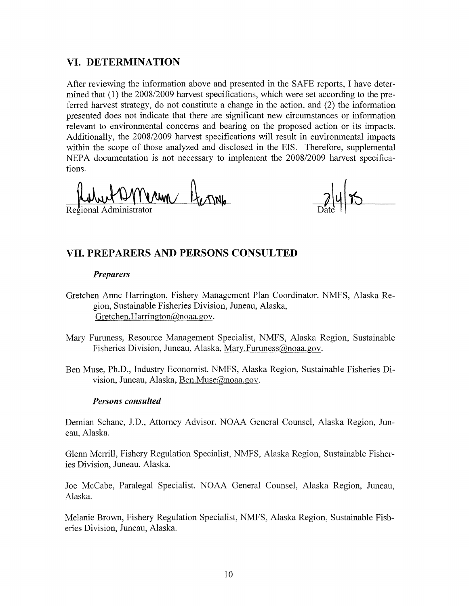### **VI. DETERMINATION**

After reviewing the information above and presented in the SAFE reports, I have determined that (1) the 2008/2009 harvest specifications, which were set according to the preferred harvest strategy, do not constitute a change in the action, and (2) the information presented does not indicate that there are significant new circumstances or information relevant to environmental concerns and bearing on the proposed action or its impacts. Additionally, the 2008/2009 harvest specifications will result in environmental impacts within the scope of those analyzed and disclosed in the EIS. Therefore, supplemental NEPA documentation is not necessary to implement the 2008/2009 harvest specifications. ~fl~ • lAd .. eg10na mm1strator

Regional Administrator

### **VII. PREPARERS AND PERSONS CONSULTED**

#### *Preparers*

- Gretchen Anne Harrington, Fishery Management Plan Coordinator. NMFS, Alaska Region, Sustainable Fisheries Division, Juneau, Alaska, Gretchen.Harrington@noaa.gov.
- Mary Furuness, Resource Management Specialist, NMFS, Alaska Region, Sustainable Fisheries Division, Juneau, Alaska, Mary.Furuness@noaa.gov.
- Ben Muse, Ph.D., Industry Economist. NMFS, Alaska Region, Sustainable Fisheries Division, Juneau, Alaska, Ben.Muse(@noaa.gov.

#### *Persons consulted*

Demian Schane, J.D., Attorney Advisor. NOAA General Counsel, Alaska Region, Juneau, Alaska.

Glenn Merrill, Fishery Regulation Specialist, NMFS, Alaska Region, Sustainable Fisheries Division, Juneau, Alaska.

Joe McCabe, Paralegal Specialist. NOAA General Counsel, Alaska Region, Juneau, Alaska.

Melanie Brown, Fishery Regulation Specialist, NMFS, Alaska Region, Sustainable Fisheries Division, Juneau, Alaska.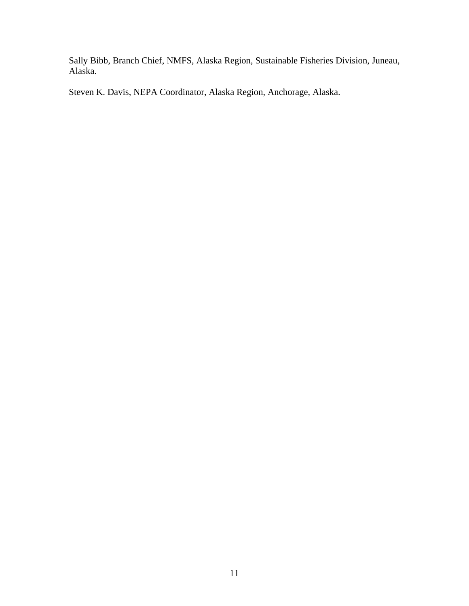Sally Bibb, Branch Chief, NMFS, Alaska Region, Sustainable Fisheries Division, Juneau, Alaska.

Steven K. Davis, NEPA Coordinator, Alaska Region, Anchorage, Alaska.